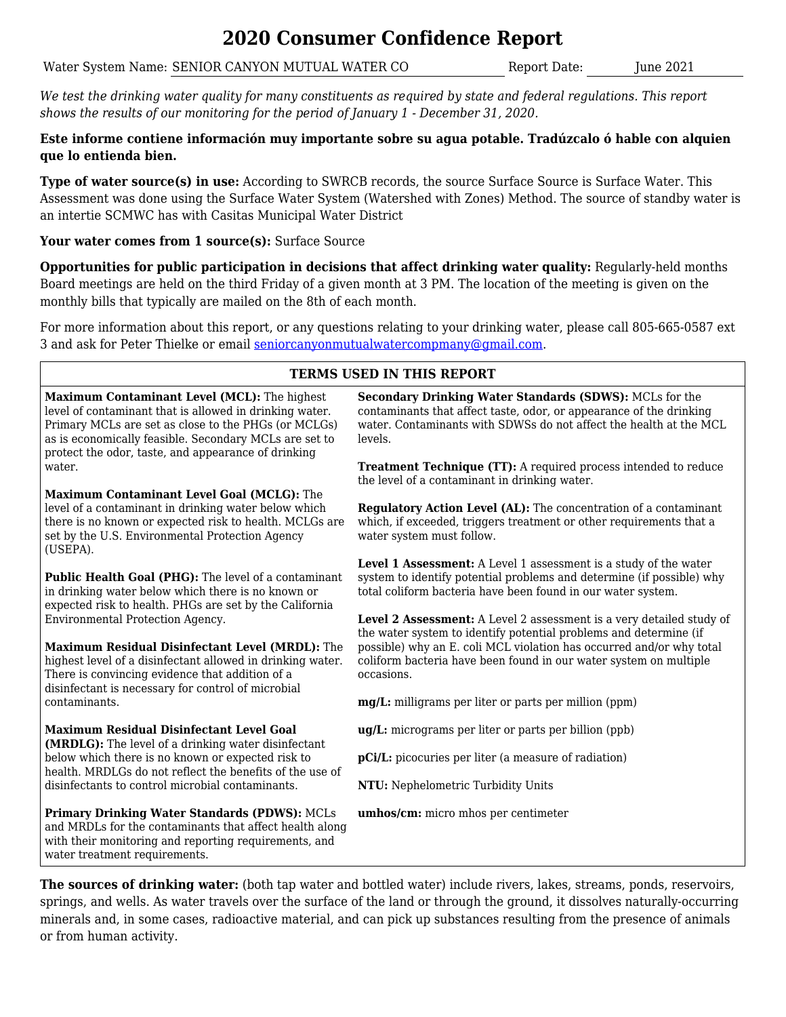## **2020 Consumer Confidence Report**

Water System Name: SENIOR CANYON MUTUAL WATER CO Report Date: June 2021

*We test the drinking water quality for many constituents as required by state and federal regulations. This report shows the results of our monitoring for the period of January 1 - December 31, 2020.*

### **Este informe contiene información muy importante sobre su agua potable. Tradúzcalo ó hable con alquien que lo entienda bien.**

**Type of water source(s) in use:** According to SWRCB records, the source Surface Source is Surface Water. This Assessment was done using the Surface Water System (Watershed with Zones) Method. The source of standby water is an intertie SCMWC has with Casitas Municipal Water District

### **Your water comes from 1 source(s):** Surface Source

**Opportunities for public participation in decisions that affect drinking water quality:** Regularly-held months Board meetings are held on the third Friday of a given month at 3 PM. The location of the meeting is given on the monthly bills that typically are mailed on the 8th of each month.

For more information about this report, or any questions relating to your drinking water, please call 805-665-0587 ext 3 and ask for Peter Thielke or email seniorcanyonmutualwatercompmany@gmail.com.

#### **TERMS USED IN THIS REPORT Maximum Contaminant Level (MCL):** The highest level of contaminant that is allowed in drinking water. Primary MCLs are set as close to the PHGs (or MCLGs) as is economically feasible. Secondary MCLs are set to protect the odor, taste, and appearance of drinking water. **Maximum Contaminant Level Goal (MCLG):** The level of a contaminant in drinking water below which there is no known or expected risk to health. MCLGs are set by the U.S. Environmental Protection Agency (USEPA). **Public Health Goal (PHG):** The level of a contaminant in drinking water below which there is no known or expected risk to health. PHGs are set by the California Environmental Protection Agency. **Maximum Residual Disinfectant Level (MRDL):** The highest level of a disinfectant allowed in drinking water. There is convincing evidence that addition of a disinfectant is necessary for control of microbial contaminants. **Maximum Residual Disinfectant Level Goal (MRDLG):** The level of a drinking water disinfectant below which there is no known or expected risk to health. MRDLGs do not reflect the benefits of the use of disinfectants to control microbial contaminants. **Primary Drinking Water Standards (PDWS):** MCLs and MRDLs for the contaminants that affect health along with their monitoring and reporting requirements, and water treatment requirements. **Secondary Drinking Water Standards (SDWS):** MCLs for the contaminants that affect taste, odor, or appearance of the drinking water. Contaminants with SDWSs do not affect the health at the MCL levels. **Treatment Technique (TT):** A required process intended to reduce the level of a contaminant in drinking water. **Regulatory Action Level (AL):** The concentration of a contaminant which, if exceeded, triggers treatment or other requirements that a water system must follow. **Level 1 Assessment:** A Level 1 assessment is a study of the water system to identify potential problems and determine (if possible) why total coliform bacteria have been found in our water system. **Level 2 Assessment:** A Level 2 assessment is a very detailed study of the water system to identify potential problems and determine (if possible) why an E. coli MCL violation has occurred and/or why total coliform bacteria have been found in our water system on multiple occasions. **mg/L:** milligrams per liter or parts per million (ppm) **ug/L:** micrograms per liter or parts per billion (ppb) **pCi/L:** picocuries per liter (a measure of radiation) **NTU:** Nephelometric Turbidity Units **umhos/cm:** micro mhos per centimeter

**The sources of drinking water:** (both tap water and bottled water) include rivers, lakes, streams, ponds, reservoirs, springs, and wells. As water travels over the surface of the land or through the ground, it dissolves naturally-occurring minerals and, in some cases, radioactive material, and can pick up substances resulting from the presence of animals or from human activity.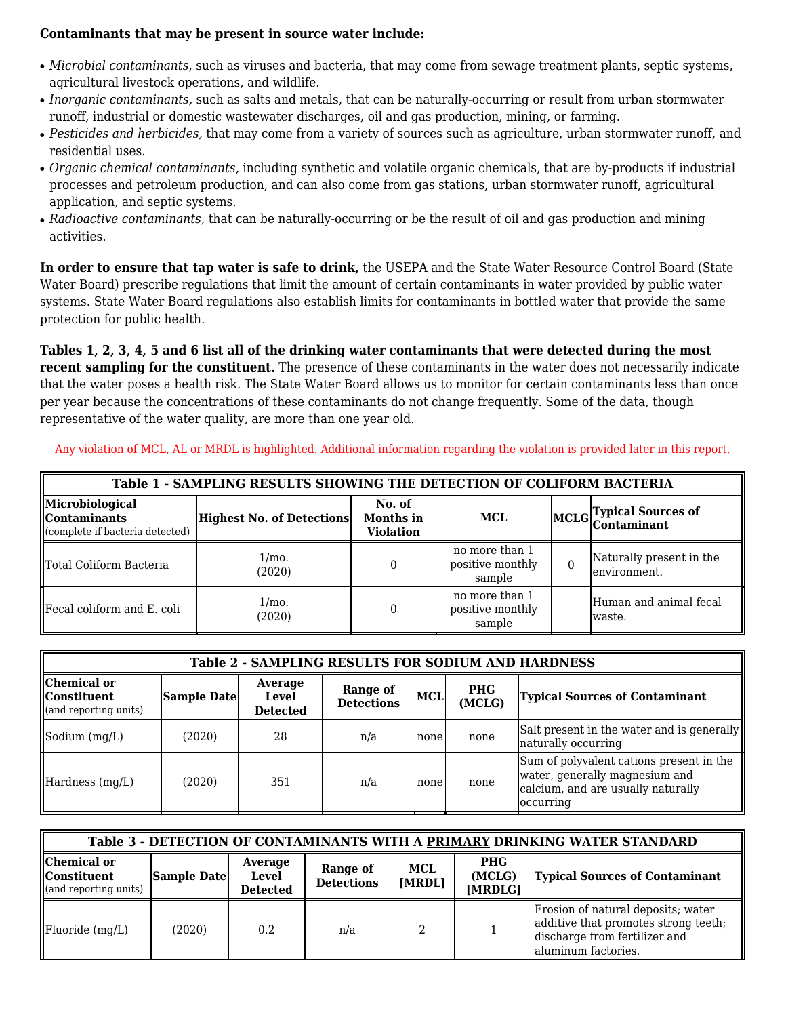### **Contaminants that may be present in source water include:**

- *Microbial contaminants,* such as viruses and bacteria, that may come from sewage treatment plants, septic systems, agricultural livestock operations, and wildlife.
- *Inorganic contaminants,* such as salts and metals, that can be naturally-occurring or result from urban stormwater runoff, industrial or domestic wastewater discharges, oil and gas production, mining, or farming.
- *Pesticides and herbicides,* that may come from a variety of sources such as agriculture, urban stormwater runoff, and residential uses.
- *Organic chemical contaminants,* including synthetic and volatile organic chemicals, that are by-products if industrial processes and petroleum production, and can also come from gas stations, urban stormwater runoff, agricultural application, and septic systems.
- *Radioactive contaminants,* that can be naturally-occurring or be the result of oil and gas production and mining activities.

**In order to ensure that tap water is safe to drink,** the USEPA and the State Water Resource Control Board (State Water Board) prescribe regulations that limit the amount of certain contaminants in water provided by public water systems. State Water Board regulations also establish limits for contaminants in bottled water that provide the same protection for public health.

**Tables 1, 2, 3, 4, 5 and 6 list all of the drinking water contaminants that were detected during the most recent sampling for the constituent.** The presence of these contaminants in the water does not necessarily indicate that the water poses a health risk. The State Water Board allows us to monitor for certain contaminants less than once per year because the concentrations of these contaminants do not change frequently. Some of the data, though representative of the water quality, are more than one year old.

| Table 1 - SAMPLING RESULTS SHOWING THE DETECTION OF COLIFORM BACTERIA     |                                                                    |                                         |                                              |                                           |                                  |  |  |  |
|---------------------------------------------------------------------------|--------------------------------------------------------------------|-----------------------------------------|----------------------------------------------|-------------------------------------------|----------------------------------|--|--|--|
| Microbiological<br><b>Contaminants</b><br>(complete if bacteria detected) | Highest No. of Detections                                          | No. of<br>Months in<br><b>Violation</b> | <b>MCL</b>                                   |                                           | MCLG Typical Sources of          |  |  |  |
| Total Coliform Bacteria                                                   | no more than 1<br>$1/m0$ .<br>positive monthly<br>(2020)<br>sample |                                         | $\Omega$                                     | Naturally present in the<br>lenvironment. |                                  |  |  |  |
| Fecal coliform and E. coli                                                | $1/m0$ .<br>(2020)                                                 |                                         | no more than 1<br>positive monthly<br>sample |                                           | Human and animal fecal<br>waste. |  |  |  |

Any violation of MCL, AL or MRDL is highlighted. Additional information regarding the violation is provided later in this report.

| <b>Table 2 - SAMPLING RESULTS FOR SODIUM AND HARDNESS</b>  |                    |                                     |                               |            |                      |                                                                                                                               |  |
|------------------------------------------------------------|--------------------|-------------------------------------|-------------------------------|------------|----------------------|-------------------------------------------------------------------------------------------------------------------------------|--|
| Chemical or<br><b>Constituent</b><br>(and reporting units) | <b>Sample Date</b> | Average<br>Level<br><b>Detected</b> | Range of<br><b>Detections</b> | <b>MCL</b> | <b>PHG</b><br>(MCLG) | <b>Typical Sources of Contaminant</b>                                                                                         |  |
| Sodium (mg/L)                                              | (2020)             | 28                                  | n/a                           | none       | none                 | Salt present in the water and is generally<br>naturally occurring                                                             |  |
| Hardness(mg/L)                                             | (2020)             | 351                                 | n/a                           | none       | none                 | Sum of polyvalent cations present in the<br>water, generally magnesium and<br>calcium, and are usually naturally<br>occurring |  |

| Table 3 - DETECTION OF CONTAMINANTS WITH A PRIMARY DRINKING WATER STANDARD |                    |                                     |                               |               |                                 |                                                                                                                                     |  |  |
|----------------------------------------------------------------------------|--------------------|-------------------------------------|-------------------------------|---------------|---------------------------------|-------------------------------------------------------------------------------------------------------------------------------------|--|--|
| Chemical or<br><b>Constituent</b><br>$\alpha$ (and reporting units)        | <b>Sample Date</b> | Average<br>Level<br><b>Detected</b> | Range of<br><b>Detections</b> | MCL<br>[MRDL] | <b>PHG</b><br>(MCLG)<br>[MRDLG] | <b>Typical Sources of Contaminant</b>                                                                                               |  |  |
| $\parallel$ Fluoride (mg/L)                                                | (2020)             | 0.2                                 | n/a                           |               |                                 | Erosion of natural deposits; water<br>additive that promotes strong teeth;<br>discharge from fertilizer and<br>laluminum factories. |  |  |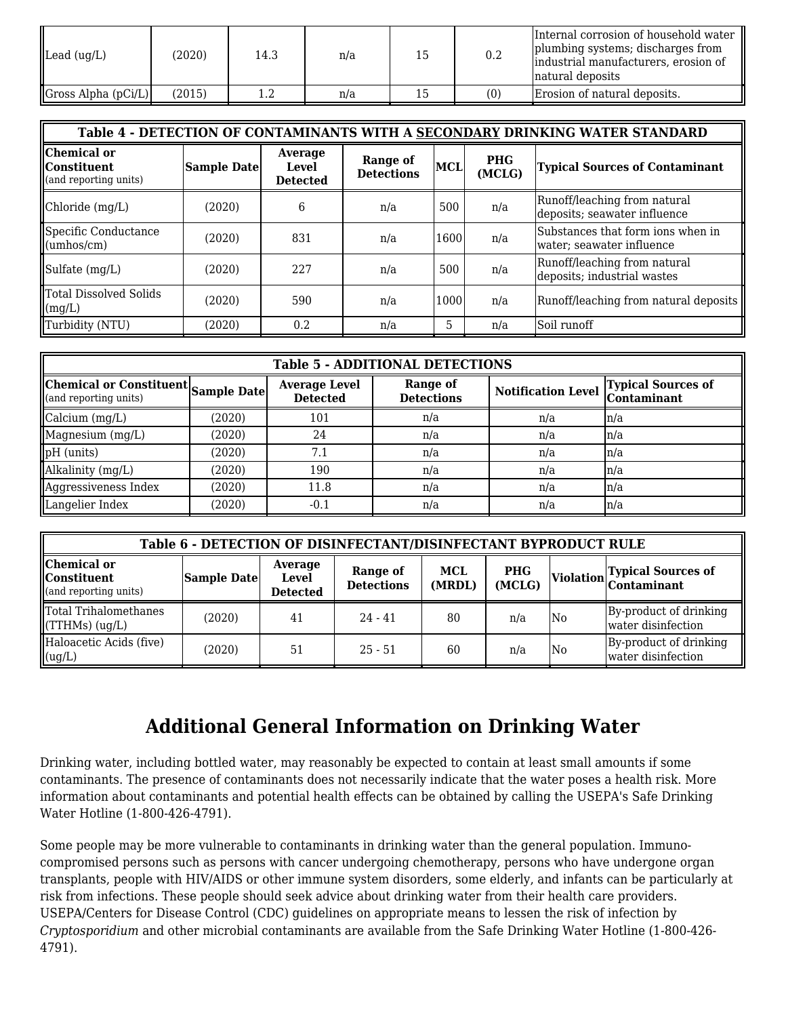| Lead $\left(\frac{uq}{L}\right)$ | 12020) | 14.3 | n/a | 0.2 | Internal corrosion of household water<br>plumbing systems; discharges from<br>industrial manufacturers, erosion of<br>Inatural deposits |
|----------------------------------|--------|------|-----|-----|-----------------------------------------------------------------------------------------------------------------------------------------|
| Gross Alpha (pCi/L)              | (2015) |      | n/a | (0) | Erosion of natural deposits.                                                                                                            |

| Table 4 - DETECTION OF CONTAMINANTS WITH A SECONDARY DRINKING WATER STANDARD |                    |                                     |                               |            |                      |                                                                 |  |  |  |
|------------------------------------------------------------------------------|--------------------|-------------------------------------|-------------------------------|------------|----------------------|-----------------------------------------------------------------|--|--|--|
| Chemical or<br>llConstituent<br>(and reporting units)                        | <b>Sample Date</b> | Average<br>Level<br><b>Detected</b> | Range of<br><b>Detections</b> | <b>MCL</b> | <b>PHG</b><br>(MCLG) | <b>Typical Sources of Contaminant</b>                           |  |  |  |
| Chloride(mg/L)                                                               | (2020)             | 6                                   | n/a                           | 500        | n/a                  | Runoff/leaching from natural<br>deposits; seawater influence    |  |  |  |
| Specific Conductance<br>$\mathsf{I}$ (umhos/cm)                              | (2020)             | 831                                 | n/a                           | 1600       | n/a                  | Substances that form ions when in<br> water; seawater influence |  |  |  |
| $\blacksquare$ Sulfate $(mg/L)$                                              | (2020)             | 22.7                                | n/a                           | 500        | n/a                  | Runoff/leaching from natural<br>deposits; industrial wastes     |  |  |  |
| Total Dissolved Solids<br>$\log/L$                                           | (2020)             | 590                                 | n/a                           | 1000       | n/a                  | Runoff/leaching from natural deposits                           |  |  |  |
| Turbidity (NTU)                                                              | (2020)             | 0.2                                 | n/a                           | 5          | n/a                  | Soil runoff                                                     |  |  |  |

| <b>Table 5 - ADDITIONAL DETECTIONS</b>                       |        |                                         |                               |                           |                                          |  |  |  |  |
|--------------------------------------------------------------|--------|-----------------------------------------|-------------------------------|---------------------------|------------------------------------------|--|--|--|--|
| Chemical or Constituent Sample Date<br>(and reporting units) |        | <b>Average Level</b><br><b>Detected</b> | Range of<br><b>Detections</b> | <b>Notification Level</b> | <b>Typical Sources of</b><br>Contaminant |  |  |  |  |
| $\alpha$ calcium $(mg/L)$                                    | (2020) | 101                                     | n/a                           | n/a                       | ln/a                                     |  |  |  |  |
| Magnesium (mg/L)                                             | (2020) | 24                                      | n/a                           | n/a                       | ln/a                                     |  |  |  |  |
| pH (units)                                                   | (2020) | 7.1                                     | n/a                           | n/a                       | ln/a                                     |  |  |  |  |
| Alkalinity (mg/L)                                            | (2020) | 190                                     | n/a                           | n/a                       | ln/a                                     |  |  |  |  |
| Aggressiveness Index                                         | (2020) | 11.8                                    | n/a                           | n/a                       | ln/a                                     |  |  |  |  |
| Langelier Index                                              | (2020) | $-0.1$                                  | n/a                           | n/a                       | ln/a                                     |  |  |  |  |

| Table 6 - DETECTION OF DISINFECTANT/DISINFECTANT BYPRODUCT RULE           |             |                                            |                               |               |                      |     |                                              |  |
|---------------------------------------------------------------------------|-------------|--------------------------------------------|-------------------------------|---------------|----------------------|-----|----------------------------------------------|--|
| Chemical or<br><b>I</b> Constituent<br>$\mathbf{u}$ (and reporting units) | Sample Date | Average<br><b>Level</b><br><b>Detected</b> | Range of<br><b>Detections</b> | MCL<br>(MRDL) | <b>PHG</b><br>(MCLG) |     | Violation Typical Sources of                 |  |
| Total Trihalomethanes<br>$\parallel$ (TTHMs) (ug/L)                       | (2020)      | 41                                         | $24 - 41$                     | 80            | n/a                  | lNo | By-product of drinking<br>water disinfection |  |
| Haloacetic Acids (five)<br>(ug/L)                                         | (2020)      | 51                                         | $25 - 51$                     | 60            | n/a                  | lNo | By-product of drinking<br>water disinfection |  |

# **Additional General Information on Drinking Water**

Drinking water, including bottled water, may reasonably be expected to contain at least small amounts if some contaminants. The presence of contaminants does not necessarily indicate that the water poses a health risk. More information about contaminants and potential health effects can be obtained by calling the USEPA's Safe Drinking Water Hotline (1-800-426-4791).

Some people may be more vulnerable to contaminants in drinking water than the general population. Immunocompromised persons such as persons with cancer undergoing chemotherapy, persons who have undergone organ transplants, people with HIV/AIDS or other immune system disorders, some elderly, and infants can be particularly at risk from infections. These people should seek advice about drinking water from their health care providers. USEPA/Centers for Disease Control (CDC) guidelines on appropriate means to lessen the risk of infection by *Cryptosporidium* and other microbial contaminants are available from the Safe Drinking Water Hotline (1-800-426- 4791).